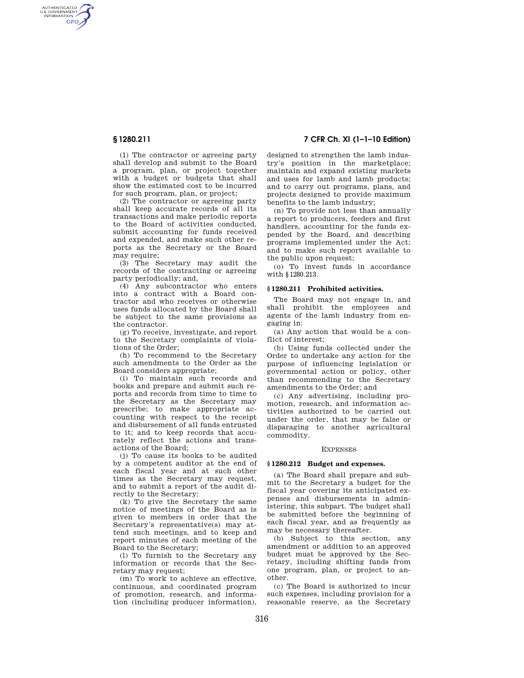AUTHENTICATED<br>U.S. GOVERNMENT<br>INFORMATION **GPO** 

**§ 1280.211 7 CFR Ch. XI (1–1–10 Edition)** 

(1) The contractor or agreeing party shall develop and submit to the Board a program, plan, or project together with a budget or budgets that shall show the estimated cost to be incurred for such program, plan, or project;

(2) The contractor or agreeing party shall keep accurate records of all its transactions and make periodic reports to the Board of activities conducted, submit accounting for funds received and expended, and make such other reports as the Secretary or the Board may require;

(3) The Secretary may audit the records of the contracting or agreeing party periodically; and,

(4) Any subcontractor who enters into a contract with a Board contractor and who receives or otherwise uses funds allocated by the Board shall be subject to the same provisions as the contractor.

(g) To receive, investigate, and report to the Secretary complaints of violations of the Order;

(h) To recommend to the Secretary such amendments to the Order as the Board considers appropriate;

(i) To maintain such records and books and prepare and submit such reports and records from time to time to the Secretary as the Secretary may prescribe; to make appropriate accounting with respect to the receipt and disbursement of all funds entrusted to it; and to keep records that accurately reflect the actions and transactions of the Board;

(j) To cause its books to be audited by a competent auditor at the end of each fiscal year and at such other times as the Secretary may request, and to submit a report of the audit directly to the Secretary;

(k) To give the Secretary the same notice of meetings of the Board as is given to members in order that the Secretary's representative(s) may attend such meetings, and to keep and report minutes of each meeting of the Board to the Secretary;

(l) To furnish to the Secretary any information or records that the Secretary may request;

(m) To work to achieve an effective, continuous, and coordinated program of promotion, research, and information (including producer information),

designed to strengthen the lamb industry's position in the marketplace; maintain and expand existing markets and uses for lamb and lamb products; and to carry out programs, plans, and projects designed to provide maximum benefits to the lamb industry;

(n) To provide not less than annually a report to producers, feeders and first handlers, accounting for the funds expended by the Board, and describing programs implemented under the Act; and to make such report available to the public upon request;

(o) To invest funds in accordance with §1280.213.

## **§ 1280.211 Prohibited activities.**

The Board may not engage in, and shall prohibit the employees and agents of the lamb industry from engaging in:

(a) Any action that would be a conflict of interest;

(b) Using funds collected under the Order to undertake any action for the purpose of influencing legislation or governmental action or policy, other than recommending to the Secretary amendments to the Order; and

(c) Any advertising, including promotion, research, and information activities authorized to be carried out under the order, that may be false or disparaging to another agricultural commodity.

### EXPENSES

## **§ 1280.212 Budget and expenses.**

(a) The Board shall prepare and submit to the Secretary a budget for the fiscal year covering its anticipated expenses and disbursements in administering, this subpart. The budget shall be submitted before the beginning of each fiscal year, and as frequently as may be necessary thereafter.

(b) Subject to this section, any amendment or addition to an approved budget must be approved by the Secretary, including shifting funds from one program, plan, or project to another.

(c) The Board is authorized to incur such expenses, including provision for a reasonable reserve, as the Secretary